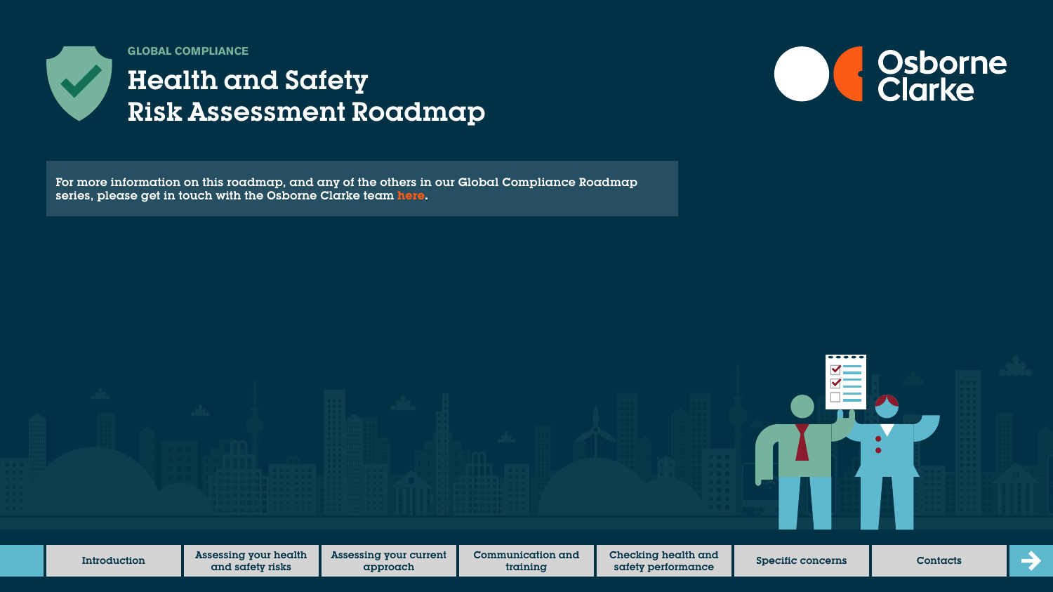

# Health and Safety Risk Assessment Roadmap



For more information on this roadmap, and any of the others in our Global Compliance Roadmap series, please get in touch with the Osborne Clarke team **[here.](https://sites-osborneclarke.vuturevx.com/82/6426/pages/global-compliance-roadmaps.asp)**

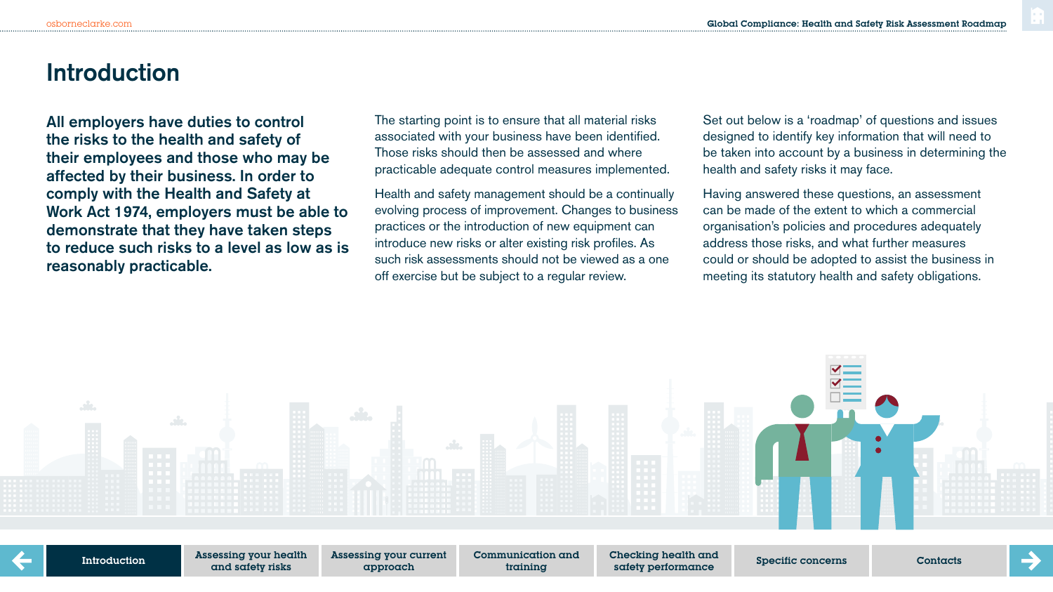### **Introduction**

All employers have duties to control the risks to the health and safety of their employees and those who may be affected by their business. In order to comply with the Health and Safety at Work Act 1974, employers must be able to demonstrate that they have taken steps to reduce such risks to a level as low as is reasonably practicable.

The starting point is to ensure that all material risks associated with your business have been identified. Those risks should then be assessed and where practicable adequate control measures implemented.

Health and safety management should be a continually evolving process of improvement. Changes to business practices or the introduction of new equipment can introduce new risks or alter existing risk profiles. As such risk assessments should not be viewed as a one off exercise but be subject to a regular review.

Set out below is a 'roadmap' of questions and issues designed to identify key information that will need to be taken into account by a business in determining the health and safety risks it may face.

Having answered these questions, an assessment can be made of the extent to which a commercial organisation's policies and procedures adequately address those risks, and what further measures could or should be adopted to assist the business in meeting its statutory health and safety obligations.

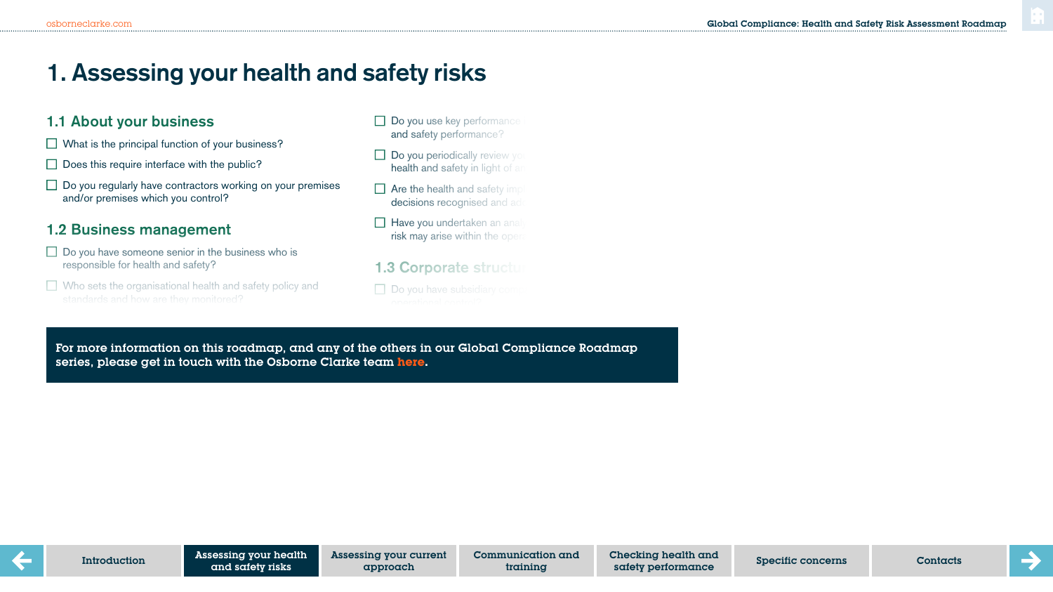### **1. Assessing your health and safety risks**

#### 1.1 About your business

- $\Box$  What is the principal function of your business?
- $\Box$  Does this require interface with the public?
- $\Box$  Do you regularly have contractors working on your premises and/or premises which you control?

### 1.2 Business management

- $\Box$  Do you have someone senior in the business who is responsible for health and safety?
- $\Box$  Who sets the organisational health and safety policy and
- $\Box$  Do you use key performance and safety performance?
- $\Box$  Do you periodically review your health and safety in light of an
- $\Box$  Are the health and safety implication decisions recognised and add
- $\Box$  Have you undertaken an analysis risk may arise within the oper
- 1.3 Corporate structu
- $\Box$  Do you have subsidiary comp

For more information on this roadmap, and any of the others in our Global Compliance Roadmap series, please get in touch with the Osborne Clarke team **[here.](https://sites-osborneclarke.vuturevx.com/82/6426/pages/global-compliance-roadmaps.asp)**

Do you have any business partners, for example joint venture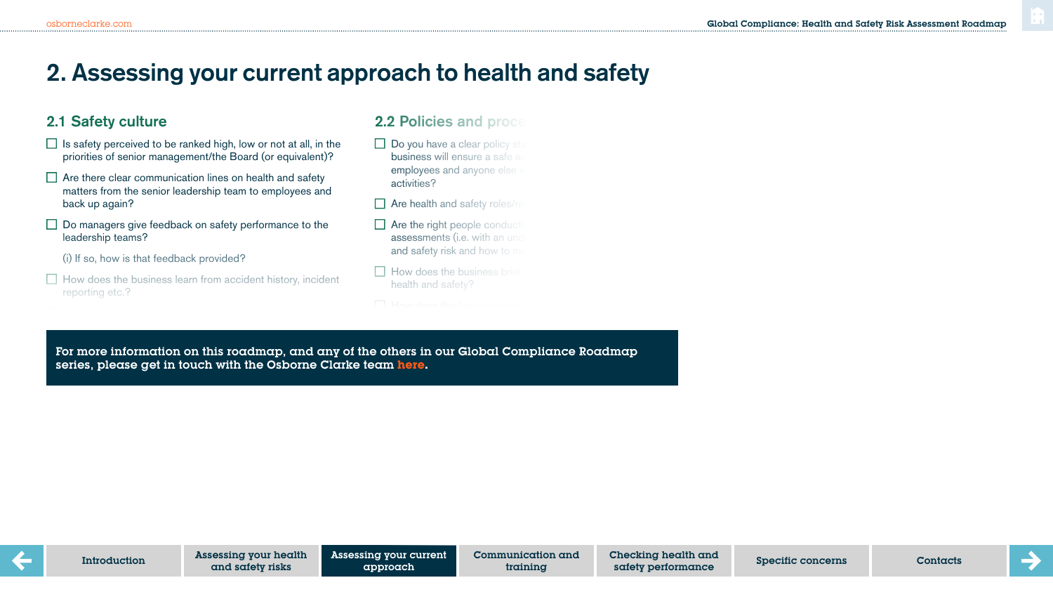## **2. Assessing your current approach to health and safety**

#### 2.1 Safety culture

- $\Box$  Is safety perceived to be ranked high, low or not at all, in the priorities of senior management/the Board (or equivalent)?
- $\Box$  Are there clear communication lines on health and safety matters from the senior leadership team to employees and back up again?
- $\Box$  Do managers give feedback on safety performance to the leadership teams?
	- (i) If so, how is that feedback provided?

Can they do so anonymously?

 $\Box$  How does the business learn from accident history, incident reporting etc.?

#### **2.2 Policies and proced**

- $\Box$  Do you have a clear policy statement **business will ensure a safe and health** employees and anyone else activities?
- $\Box$  Are health and safety roles/re
- $\Box$  Are the right people conduct assessments (i.e. with an und and safety risk and how to ma
- $\Box$  How does the business brief health and safety?
- 

For more information on this roadmap, and any of the others in our Global Compliance Roadmap series, please get in touch with the Osborne Clarke team **[here.](https://sites-osborneclarke.vuturevx.com/82/6426/pages/global-compliance-roadmaps.asp)**

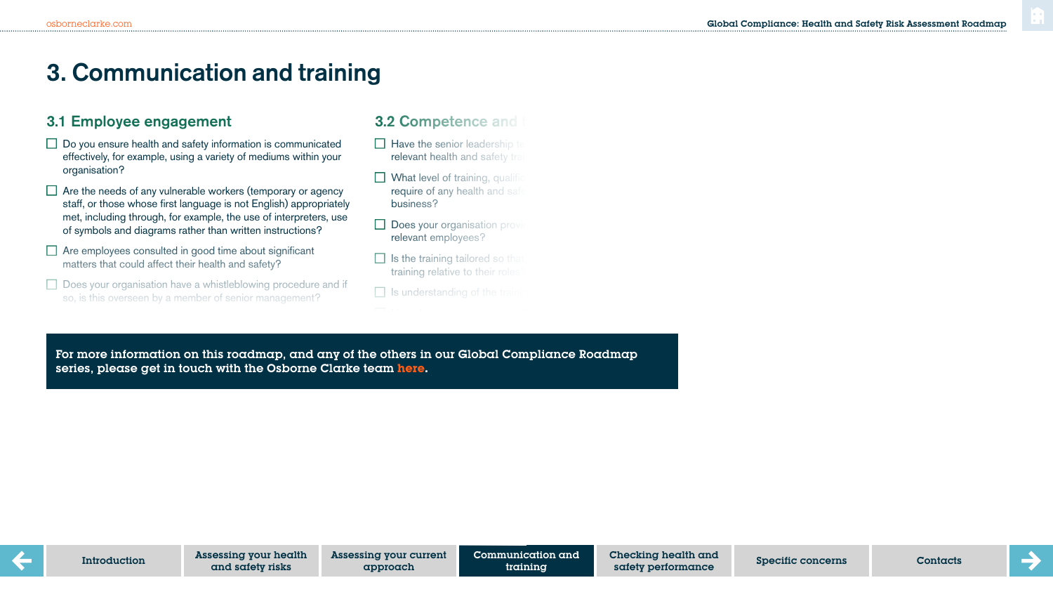### **3. Communication and training**

#### 3.1 Employee engagement

- $\Box$  Do you ensure health and safety information is communicated effectively, for example, using a variety of mediums within your organisation?
- $\Box$  Are the needs of any vulnerable workers (temporary or agency staff, or those whose first language is not English) appropriately met, including through, for example, the use of interpreters, use of symbols and diagrams rather than written instructions?
- $\Box$  Are employees consulted in good time about significant matters that could affect their health and safety?
- $\Box$  Does your organisation have a whistleblowing procedure and if so, is this overseen by a member of senior management?

#### **3.2 Competence and**

- $\Box$  Have the senior leadership to relevant health and safety training
- $\Box$  What level of training, qualific require of any health and safe business?
- $\Box$  Does your organisation provi relevant employees?
- $\Box$  Is the training tailored so that training relative to their roles
- $\Box$  Is understanding of the train

Do contractors have an appropriate level of induction and training? For more information on this roadmap, and any of the others in our Global Compliance Roadmap series, please get in touch with the Osborne Clarke team **[here.](https://sites-osborneclarke.vuturevx.com/82/6426/pages/global-compliance-roadmaps.asp)**

Communication and training ing your current **Communication and Checking health and Specific concerns Contacts** Contacts Contacts Contacts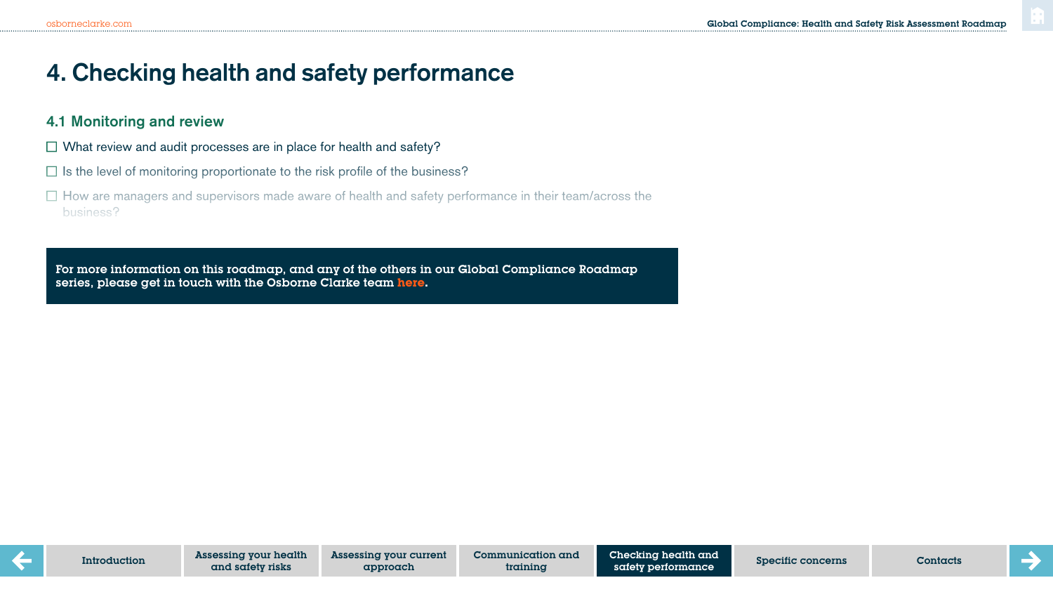### **4. Checking health and safety performance**

#### 4.1 Monitoring and review

- $\Box$  What review and audit processes are in place for health and safety?
- $\Box$  Is the level of monitoring proportionate to the risk profile of the business?
- $\Box$  How are managers and supervisors made aware of health and safety performance in their team/across the business?

For more information on this roadmap, and any of the others in our Global Compliance Roadmap series, please get in touch with the Osborne Clarke team **[here.](https://sites-osborneclarke.vuturevx.com/82/6426/pages/global-compliance-roadmaps.asp)**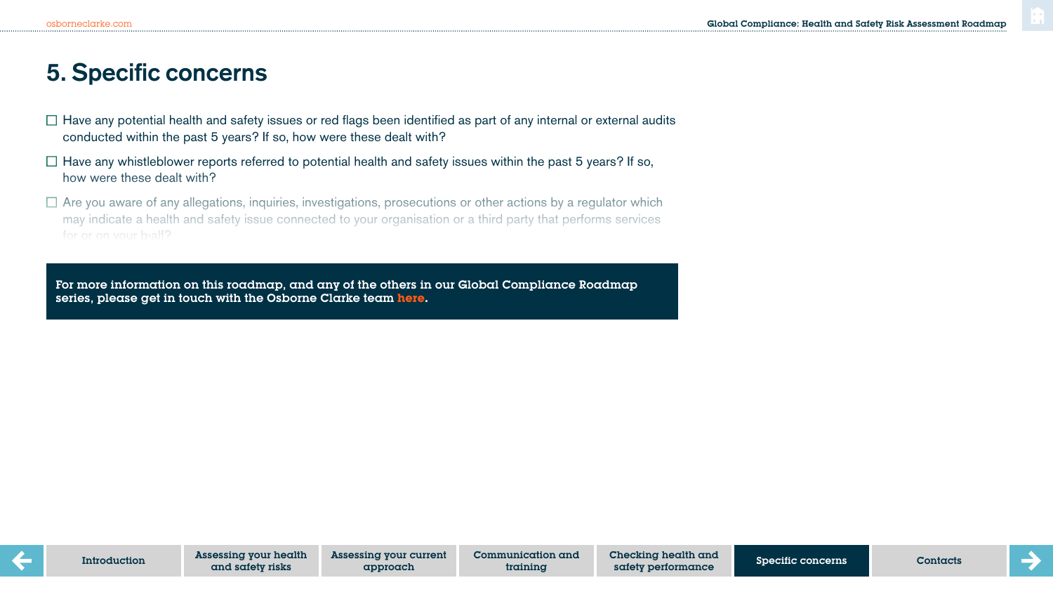### **5. Specific concerns**

- $\Box$  Have any potential health and safety issues or red flags been identified as part of any internal or external audits conducted within the past 5 years? If so, how were these dealt with?
- $\Box$  Have any whistleblower reports referred to potential health and safety issues within the past 5 years? If so, how were these dealt with?
- $\Box$  Are you aware of any allegations, inquiries, investigations, prosecutions or other actions by a regulator which may indicate a health and safety issue connected to your organisation or a third party that performs services for or on your bealf?

Have any personal injury claims been brought against the business in the last 3 years/are there any clear

For more information on this roadmap, and any of the others in our Global Compliance Roadmap series, please get in touch with the Osborne Clarke team <mark>[here.](https://sites-osborneclarke.vuturevx.com/82/6426/pages/global-compliance-roadmaps.asp)</mark><br>.

 $\mathcal{P}_\text{max}$  is such and safety is supersy. The business  $\mathcal{P}_\text{max}$